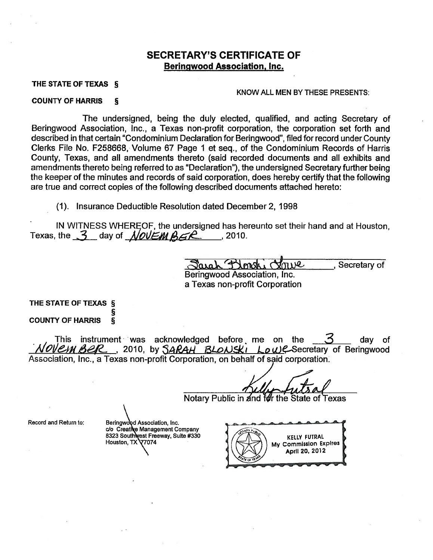### SECRETARY'S CERTIFICATE OF Beringwood Association, Inc.

#### THE STATE OF TEXAS §

#### KNOW ALL MEN BY THESE PRESENTS:

#### COUNTY OF HARRIS §

The undersigned, being the duly elected, qualified, and acting Secretary of Beringwood Association, Inc., a Texas non-profit corporation, the corporation set forth and described in that certain "Condominium Declaration for Beringwood", filed for record under County Clerks File No. F258668, Volume 67 Page <sup>1</sup> et seq., of the Condominium Records of Harris County, Texas, and all amendments thereto (said recorded documents and all exhibits and amendments thereto being referred to as "Declaration"), the undersigned Secretary further being the keeper of the minutes and records of said corporation, does hereby certify that the following are true and correct copies of the following described documents attached hereto:

(1). Insurance Deductible Resolution dated December 2, 1998

IN WITNESS WHEREOF, the undersigned has hereunto set their hand and at Houston,<br>
the  $\frac{3}{\sqrt{2}}$  day of  $\frac{1}{\sqrt{2}}$  ( $\frac{1}{\sqrt{2}}$  ,  $\frac{1}{\sqrt{2}}$  ,  $\frac{1}{\sqrt{2}}$  ,  $\frac{1}{\sqrt{2}}$  ,  $\frac{1}{\sqrt{2}}$  and  $\frac{1}{\sqrt{2}}$  ( $\frac{1}{\sqrt{2}}$ Texas, the  $3$  day of  $N$ *OUEM*  $\beta$ *GR* , 2010.

Beringwood Association, Inc. a Texas non-profit Corporation

THE STATE OF TEXAS § §

COUNTY OF HARRIS §

This instrument was acknowledged before me on the  $\leq$   $\leq$  day of OVEMBER, 2010, by SARAH BLONSKI Low C-Secretary of Beringwood Association, Inc., a Texas non-profit Corporation, on behalf of said corporatión

Notary Public in and for the State of Texas

Record and Return to:

Beringwood Association, Inc. c/o Creative Management Company 8323 Southwest Freeway, Suite #330<br>Houston, TX 77074 Houston, TX<sup>1</sup>

— — KELLY FUTRAL ' My Commission Expires April 20, 2012